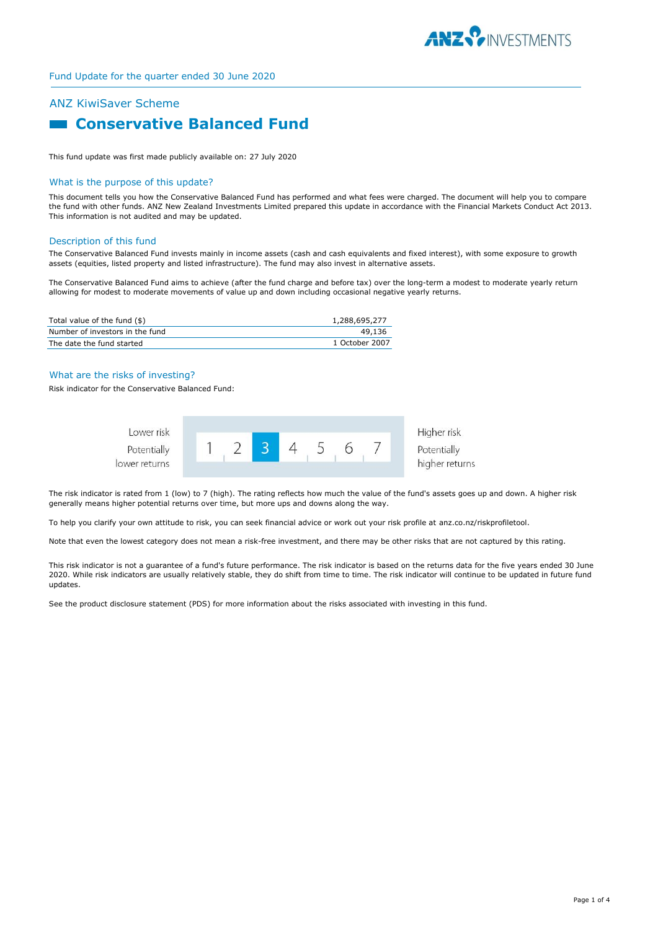

## ANZ KiwiSaver Scheme

# **E Conservative Balanced Fund**

This fund update was first made publicly available on: 27 July 2020

#### What is the purpose of this update?

This document tells you how the Conservative Balanced Fund has performed and what fees were charged. The document will help you to compare the fund with other funds. ANZ New Zealand Investments Limited prepared this update in accordance with the Financial Markets Conduct Act 2013. This information is not audited and may be updated.

#### Description of this fund

The Conservative Balanced Fund invests mainly in income assets (cash and cash equivalents and fixed interest), with some exposure to growth assets (equities, listed property and listed infrastructure). The fund may also invest in alternative assets.

The Conservative Balanced Fund aims to achieve (after the fund charge and before tax) over the long-term a modest to moderate yearly return allowing for modest to moderate movements of value up and down including occasional negative yearly returns.

| Total value of the fund (\$)    | 1,288,695,277  |
|---------------------------------|----------------|
| Number of investors in the fund | 49,136         |
| The date the fund started       | 1 October 2007 |

### What are the risks of investing?

Risk indicator for the Conservative Balanced Fund:



The risk indicator is rated from 1 (low) to 7 (high). The rating reflects how much the value of the fund's assets goes up and down. A higher risk generally means higher potential returns over time, but more ups and downs along the way.

To help you clarify your own attitude to risk, you can seek financial advice or work out your risk profile at anz.co.nz/riskprofiletool.

Note that even the lowest category does not mean a risk-free investment, and there may be other risks that are not captured by this rating.

This risk indicator is not a guarantee of a fund's future performance. The risk indicator is based on the returns data for the five years ended 30 June 2020. While risk indicators are usually relatively stable, they do shift from time to time. The risk indicator will continue to be updated in future fund updates.

See the product disclosure statement (PDS) for more information about the risks associated with investing in this fund.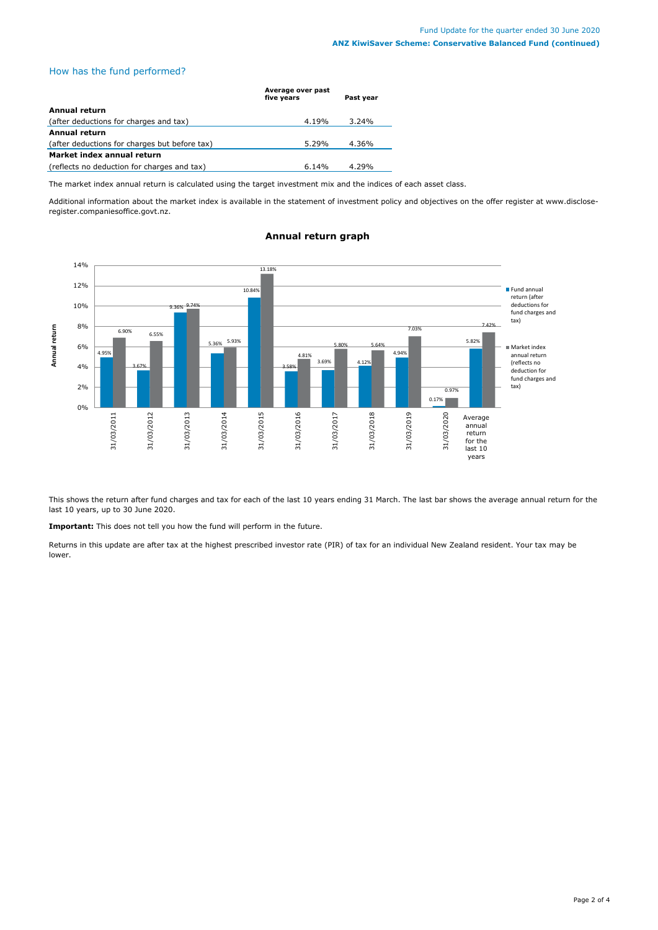## How has the fund performed?

|                                               | Average over past<br>five years | Past year |
|-----------------------------------------------|---------------------------------|-----------|
| Annual return                                 |                                 |           |
| (after deductions for charges and tax)        | 4.19%                           | $3.24\%$  |
| <b>Annual return</b>                          |                                 |           |
| (after deductions for charges but before tax) | $5.29\%$                        | 4.36%     |
| Market index annual return                    |                                 |           |
| (reflects no deduction for charges and tax)   | 6.14%                           | 4.29%     |

The market index annual return is calculated using the target investment mix and the indices of each asset class.

Additional information about the market index is available in the statement of investment policy and objectives on the offer register at www.discloseregister.companiesoffice.govt.nz.



## **Annual return graph**

This shows the return after fund charges and tax for each of the last 10 years ending 31 March. The last bar shows the average annual return for the last 10 years, up to 30 June 2020.

**Important:** This does not tell you how the fund will perform in the future.

Returns in this update are after tax at the highest prescribed investor rate (PIR) of tax for an individual New Zealand resident. Your tax may be lower.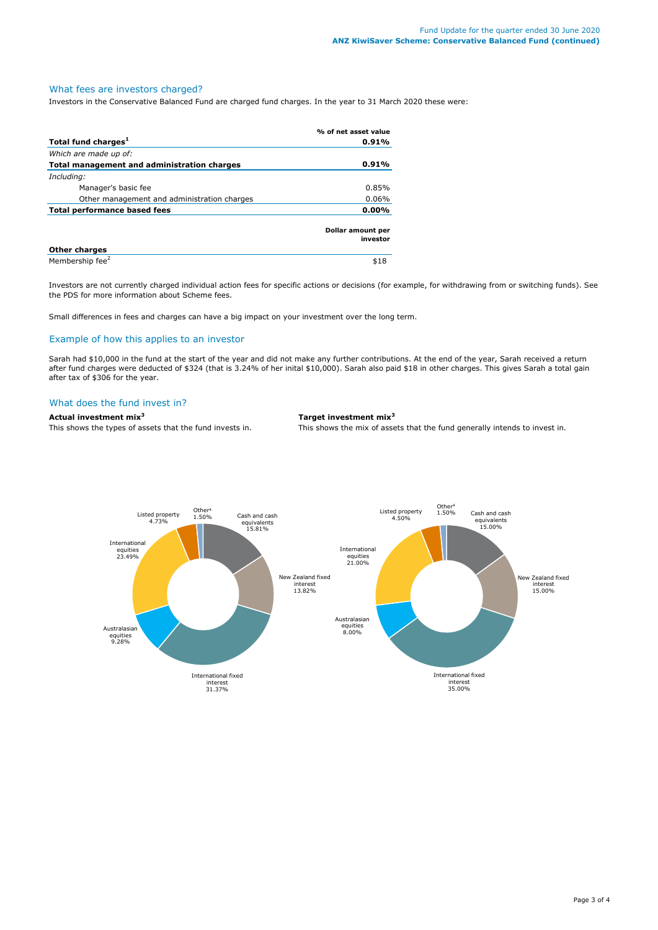## What fees are investors charged?

Investors in the Conservative Balanced Fund are charged fund charges. In the year to 31 March 2020 these were:

|                                             | % of net asset value          |
|---------------------------------------------|-------------------------------|
| Total fund charges <sup>1</sup>             | 0.91%                         |
| Which are made up of:                       |                               |
| Total management and administration charges | 0.91%                         |
| Including:                                  |                               |
| Manager's basic fee                         | 0.85%                         |
| Other management and administration charges | 0.06%                         |
| Total performance based fees                |                               |
|                                             | Dollar amount per<br>investor |
| <b>Other charges</b>                        |                               |
| Membership fee <sup>2</sup>                 | \$18                          |

Investors are not currently charged individual action fees for specific actions or decisions (for example, for withdrawing from or switching funds). See the PDS for more information about Scheme fees.

Small differences in fees and charges can have a big impact on your investment over the long term.

## Example of how this applies to an investor

Sarah had \$10,000 in the fund at the start of the year and did not make any further contributions. At the end of the year, Sarah received a return after fund charges were deducted of \$324 (that is 3.24% of her inital \$10,000). Sarah also paid \$18 in other charges. This gives Sarah a total gain after tax of \$306 for the year.

## What does the fund invest in?

## **Actual investment mix<sup>3</sup> Target investment mix<sup>3</sup>**

This shows the types of assets that the fund invests in. This shows the mix of assets that the fund generally intends to invest in.